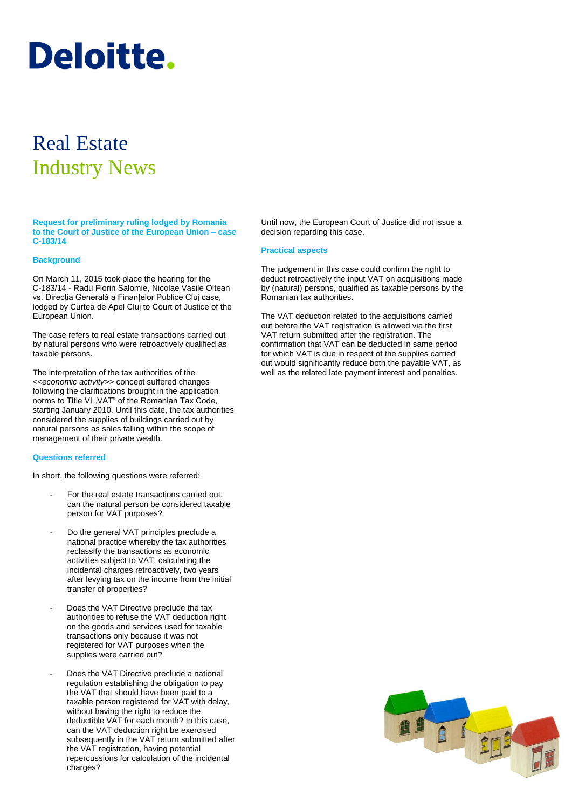# **Deloitte.**

## Real Estate Industry News

**Request for preliminary ruling lodged by Romania to the Court of Justice of the European Union – case C-183/14**

#### **Background**

On March 11, 2015 took place the hearing for the C-183/14 - Radu Florin Salomie, Nicolae Vasile Oltean vs. Direcția Generală a Finanțelor Publice Cluj case, lodged by Curtea de Apel Cluj to Court of Justice of the European Union.

The case refers to real estate transactions carried out by natural persons who were retroactively qualified as taxable persons.

The interpretation of the tax authorities of the <<*economic activity>>* concept suffered changes following the clarifications brought in the application norms to Title VI "VAT" of the Romanian Tax Code, starting January 2010. Until this date, the tax authorities considered the supplies of buildings carried out by natural persons as sales falling within the scope of management of their private wealth.

#### **Questions referred**

In short, the following questions were referred:

- For the real estate transactions carried out, can the natural person be considered taxable person for VAT purposes?
- Do the general VAT principles preclude a national practice whereby the tax authorities reclassify the transactions as economic activities subject to VAT, calculating the incidental charges retroactively, two years after levying tax on the income from the initial transfer of properties?
- Does the VAT Directive preclude the tax authorities to refuse the VAT deduction right on the goods and services used for taxable transactions only because it was not registered for VAT purposes when the supplies were carried out?
- Does the VAT Directive preclude a national regulation establishing the obligation to pay the VAT that should have been paid to a taxable person registered for VAT with delay, without having the right to reduce the deductible VAT for each month? In this case, can the VAT deduction right be exercised subsequently in the VAT return submitted after the VAT registration, having potential repercussions for calculation of the incidental charges?

Until now, the European Court of Justice did not issue a decision regarding this case.

#### **Practical aspects**

The judgement in this case could confirm the right to deduct retroactively the input VAT on acquisitions made by (natural) persons, qualified as taxable persons by the Romanian tax authorities.

The VAT deduction related to the acquisitions carried out before the VAT registration is allowed via the first VAT return submitted after the registration. The confirmation that VAT can be deducted in same period for which VAT is due in respect of the supplies carried out would significantly reduce both the payable VAT, as well as the related late payment interest and penalties.